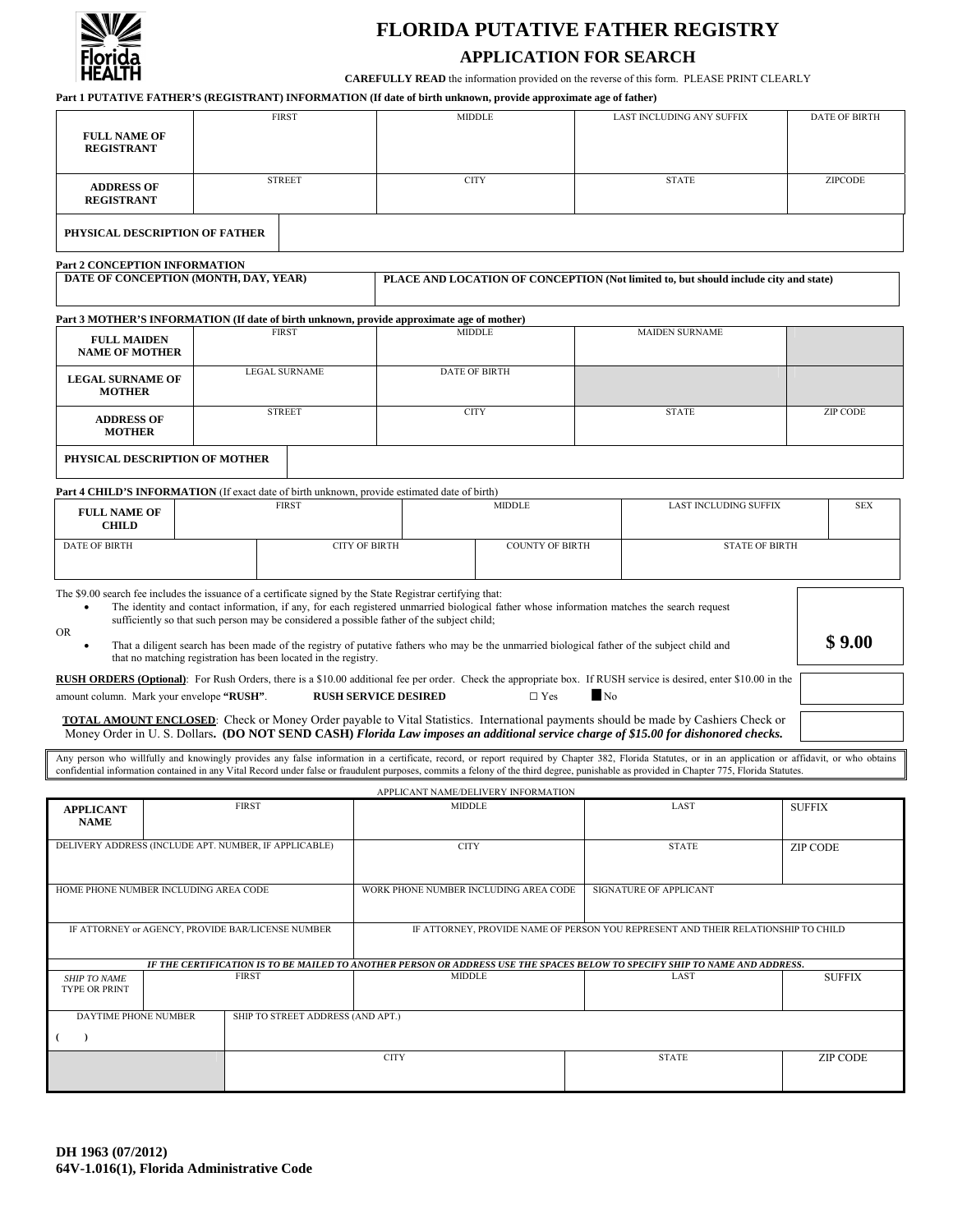

# **FLORIDA PUTATIVE FATHER REGISTRY**

# **APPLICATION FOR SEARCH**

**CAREFULLY READ** the information provided on the reverse of this form. PLEASE PRINT CLEARLY

**Part 1 PUTATIVE FATHER'S (REGISTRANT) INFORMATION (If date of birth unknown, provide approximate age of father)** 

| <b>FULL NAME OF</b><br><b>REGISTRANT</b>                                                                                                                                                                                                                                                                                                                                                                                                                                                                                                                                                                                                                                                                                                                                                                                                                                                                                                                                                                                                                                                                                                                          |                                                         | <b>FIRST</b>                                                                      |               | <b>MIDDLE</b>                                                                                                               |                        |  |      | LAST INCLUDING ANY SUFFIX                                                                                                                                                                                                                                                                                                                                                                           |               | <b>DATE OF BIRTH</b> |  |
|-------------------------------------------------------------------------------------------------------------------------------------------------------------------------------------------------------------------------------------------------------------------------------------------------------------------------------------------------------------------------------------------------------------------------------------------------------------------------------------------------------------------------------------------------------------------------------------------------------------------------------------------------------------------------------------------------------------------------------------------------------------------------------------------------------------------------------------------------------------------------------------------------------------------------------------------------------------------------------------------------------------------------------------------------------------------------------------------------------------------------------------------------------------------|---------------------------------------------------------|-----------------------------------------------------------------------------------|---------------|-----------------------------------------------------------------------------------------------------------------------------|------------------------|--|------|-----------------------------------------------------------------------------------------------------------------------------------------------------------------------------------------------------------------------------------------------------------------------------------------------------------------------------------------------------------------------------------------------------|---------------|----------------------|--|
|                                                                                                                                                                                                                                                                                                                                                                                                                                                                                                                                                                                                                                                                                                                                                                                                                                                                                                                                                                                                                                                                                                                                                                   | <b>STREET</b><br><b>ADDRESS OF</b><br><b>REGISTRANT</b> |                                                                                   |               | <b>CITY</b>                                                                                                                 |                        |  |      | <b>STATE</b>                                                                                                                                                                                                                                                                                                                                                                                        |               | ZIPCODE              |  |
| PHYSICAL DESCRIPTION OF FATHER                                                                                                                                                                                                                                                                                                                                                                                                                                                                                                                                                                                                                                                                                                                                                                                                                                                                                                                                                                                                                                                                                                                                    |                                                         |                                                                                   |               |                                                                                                                             |                        |  |      |                                                                                                                                                                                                                                                                                                                                                                                                     |               |                      |  |
| Part 2 CONCEPTION INFORMATION                                                                                                                                                                                                                                                                                                                                                                                                                                                                                                                                                                                                                                                                                                                                                                                                                                                                                                                                                                                                                                                                                                                                     |                                                         |                                                                                   |               |                                                                                                                             |                        |  |      |                                                                                                                                                                                                                                                                                                                                                                                                     |               |                      |  |
| DATE OF CONCEPTION (MONTH, DAY, YEAR)                                                                                                                                                                                                                                                                                                                                                                                                                                                                                                                                                                                                                                                                                                                                                                                                                                                                                                                                                                                                                                                                                                                             |                                                         |                                                                                   |               | PLACE AND LOCATION OF CONCEPTION (Not limited to, but should include city and state)                                        |                        |  |      |                                                                                                                                                                                                                                                                                                                                                                                                     |               |                      |  |
| Part 3 MOTHER'S INFORMATION (If date of birth unknown, provide approximate age of mother)                                                                                                                                                                                                                                                                                                                                                                                                                                                                                                                                                                                                                                                                                                                                                                                                                                                                                                                                                                                                                                                                         |                                                         |                                                                                   |               |                                                                                                                             |                        |  |      |                                                                                                                                                                                                                                                                                                                                                                                                     |               |                      |  |
| <b>FULL MAIDEN</b><br><b>NAME OF MOTHER</b>                                                                                                                                                                                                                                                                                                                                                                                                                                                                                                                                                                                                                                                                                                                                                                                                                                                                                                                                                                                                                                                                                                                       | <b>FIRST</b>                                            |                                                                                   |               | <b>MIDDLE</b>                                                                                                               |                        |  |      | <b>MAIDEN SURNAME</b>                                                                                                                                                                                                                                                                                                                                                                               |               |                      |  |
| <b>LEGAL SURNAME</b><br><b>LEGAL SURNAME OF</b><br><b>MOTHER</b>                                                                                                                                                                                                                                                                                                                                                                                                                                                                                                                                                                                                                                                                                                                                                                                                                                                                                                                                                                                                                                                                                                  |                                                         |                                                                                   |               | <b>DATE OF BIRTH</b>                                                                                                        |                        |  |      |                                                                                                                                                                                                                                                                                                                                                                                                     |               |                      |  |
|                                                                                                                                                                                                                                                                                                                                                                                                                                                                                                                                                                                                                                                                                                                                                                                                                                                                                                                                                                                                                                                                                                                                                                   | <b>STREET</b><br><b>ADDRESS OF</b><br><b>MOTHER</b>     |                                                                                   |               | <b>CITY</b>                                                                                                                 |                        |  |      | <b>STATE</b>                                                                                                                                                                                                                                                                                                                                                                                        |               | <b>ZIP CODE</b>      |  |
| PHYSICAL DESCRIPTION OF MOTHER                                                                                                                                                                                                                                                                                                                                                                                                                                                                                                                                                                                                                                                                                                                                                                                                                                                                                                                                                                                                                                                                                                                                    |                                                         |                                                                                   |               |                                                                                                                             |                        |  |      |                                                                                                                                                                                                                                                                                                                                                                                                     |               |                      |  |
| Part 4 CHILD'S INFORMATION (If exact date of birth unknown, provide estimated date of birth)                                                                                                                                                                                                                                                                                                                                                                                                                                                                                                                                                                                                                                                                                                                                                                                                                                                                                                                                                                                                                                                                      |                                                         |                                                                                   |               |                                                                                                                             |                        |  |      |                                                                                                                                                                                                                                                                                                                                                                                                     |               |                      |  |
| <b>FULL NAME OF</b><br><b>CHILD</b>                                                                                                                                                                                                                                                                                                                                                                                                                                                                                                                                                                                                                                                                                                                                                                                                                                                                                                                                                                                                                                                                                                                               | <b>FIRST</b>                                            |                                                                                   |               |                                                                                                                             | <b>MIDDLE</b>          |  |      | <b>LAST INCLUDING SUFFIX</b>                                                                                                                                                                                                                                                                                                                                                                        |               | <b>SEX</b>           |  |
| <b>DATE OF BIRTH</b>                                                                                                                                                                                                                                                                                                                                                                                                                                                                                                                                                                                                                                                                                                                                                                                                                                                                                                                                                                                                                                                                                                                                              |                                                         |                                                                                   |               | <b>CITY OF BIRTH</b>                                                                                                        | <b>COUNTY OF BIRTH</b> |  |      | <b>STATE OF BIRTH</b>                                                                                                                                                                                                                                                                                                                                                                               |               |                      |  |
| The \$9.00 search fee includes the issuance of a certificate signed by the State Registrar certifying that:<br>The identity and contact information, if any, for each registered unmarried biological father whose information matches the search request<br>sufficiently so that such person may be considered a possible father of the subject child;<br>OR.<br>\$9.00<br>That a diligent search has been made of the registry of putative fathers who may be the unmarried biological father of the subject child and<br>that no matching registration has been located in the registry.<br><b>RUSH ORDERS (Optional)</b> : For Rush Orders, there is a \$10.00 additional fee per order. Check the appropriate box. If RUSH service is desired, enter \$10.00 in the<br>N <sub>0</sub><br>amount column. Mark your envelope "RUSH".<br><b>RUSH SERVICE DESIRED</b><br>$\Box$ Yes<br>TOTAL AMOUNT ENCLOSED: Check or Money Order payable to Vital Statistics. International payments should be made by Cashiers Check or<br>Money Order in U.S. Dollars. (DO NOT SEND CASH) Florida Law imposes an additional service charge of \$15.00 for dishonored checks. |                                                         |                                                                                   |               |                                                                                                                             |                        |  |      |                                                                                                                                                                                                                                                                                                                                                                                                     |               |                      |  |
|                                                                                                                                                                                                                                                                                                                                                                                                                                                                                                                                                                                                                                                                                                                                                                                                                                                                                                                                                                                                                                                                                                                                                                   |                                                         |                                                                                   |               |                                                                                                                             |                        |  |      | Any person who willfully and knowingly provides any false information in a certificate, record, or report required by Chapter 382, Florida Statutes, or in an application or affidavit, or who obtains<br>confidential information contained in any Vital Record under false or fraudulent purposes, commits a felony of the third degree, punishable as provided in Chapter 775, Florida Statutes. |               |                      |  |
|                                                                                                                                                                                                                                                                                                                                                                                                                                                                                                                                                                                                                                                                                                                                                                                                                                                                                                                                                                                                                                                                                                                                                                   |                                                         |                                                                                   |               |                                                                                                                             |                        |  |      |                                                                                                                                                                                                                                                                                                                                                                                                     |               |                      |  |
| <b>APPLICANT</b><br><b>NAME</b>                                                                                                                                                                                                                                                                                                                                                                                                                                                                                                                                                                                                                                                                                                                                                                                                                                                                                                                                                                                                                                                                                                                                   | <b>FIRST</b>                                            |                                                                                   |               | APPLICANT NAME/DELIVERY INFORMATION<br>MIDDLE                                                                               |                        |  |      | LAST                                                                                                                                                                                                                                                                                                                                                                                                |               | <b>SUFFIX</b>        |  |
| DELIVERY ADDRESS (INCLUDE APT. NUMBER, IF APPLICABLE)                                                                                                                                                                                                                                                                                                                                                                                                                                                                                                                                                                                                                                                                                                                                                                                                                                                                                                                                                                                                                                                                                                             |                                                         |                                                                                   |               | <b>CITY</b>                                                                                                                 |                        |  |      | <b>STATE</b>                                                                                                                                                                                                                                                                                                                                                                                        |               | ZIP CODE             |  |
| HOME PHONE NUMBER INCLUDING AREA CODE                                                                                                                                                                                                                                                                                                                                                                                                                                                                                                                                                                                                                                                                                                                                                                                                                                                                                                                                                                                                                                                                                                                             |                                                         |                                                                                   |               | WORK PHONE NUMBER INCLUDING AREA CODE                                                                                       |                        |  |      | SIGNATURE OF APPLICANT                                                                                                                                                                                                                                                                                                                                                                              |               |                      |  |
| IF ATTORNEY or AGENCY, PROVIDE BAR/LICENSE NUMBER                                                                                                                                                                                                                                                                                                                                                                                                                                                                                                                                                                                                                                                                                                                                                                                                                                                                                                                                                                                                                                                                                                                 |                                                         | IF ATTORNEY, PROVIDE NAME OF PERSON YOU REPRESENT AND THEIR RELATIONSHIP TO CHILD |               |                                                                                                                             |                        |  |      |                                                                                                                                                                                                                                                                                                                                                                                                     |               |                      |  |
|                                                                                                                                                                                                                                                                                                                                                                                                                                                                                                                                                                                                                                                                                                                                                                                                                                                                                                                                                                                                                                                                                                                                                                   |                                                         |                                                                                   |               | IF THE CERTIFICATION IS TO BE MAILED TO ANOTHER PERSON OR ADDRESS USE THE SPACES BELOW TO SPECIFY SHIP TO NAME AND ADDRESS. |                        |  |      |                                                                                                                                                                                                                                                                                                                                                                                                     |               |                      |  |
| <b>FIRST</b><br><b>SHIP TO NAME</b><br><b>TYPE OR PRINT</b>                                                                                                                                                                                                                                                                                                                                                                                                                                                                                                                                                                                                                                                                                                                                                                                                                                                                                                                                                                                                                                                                                                       |                                                         |                                                                                   | <b>MIDDLE</b> |                                                                                                                             |                        |  | LAST |                                                                                                                                                                                                                                                                                                                                                                                                     | <b>SUFFIX</b> |                      |  |
| DAYTIME PHONE NUMBER<br>$\rightarrow$<br>- (                                                                                                                                                                                                                                                                                                                                                                                                                                                                                                                                                                                                                                                                                                                                                                                                                                                                                                                                                                                                                                                                                                                      |                                                         | SHIP TO STREET ADDRESS (AND APT.)                                                 |               |                                                                                                                             |                        |  |      |                                                                                                                                                                                                                                                                                                                                                                                                     |               |                      |  |
|                                                                                                                                                                                                                                                                                                                                                                                                                                                                                                                                                                                                                                                                                                                                                                                                                                                                                                                                                                                                                                                                                                                                                                   |                                                         |                                                                                   |               | <b>CITY</b>                                                                                                                 |                        |  |      | <b>STATE</b>                                                                                                                                                                                                                                                                                                                                                                                        |               | <b>ZIP CODE</b>      |  |